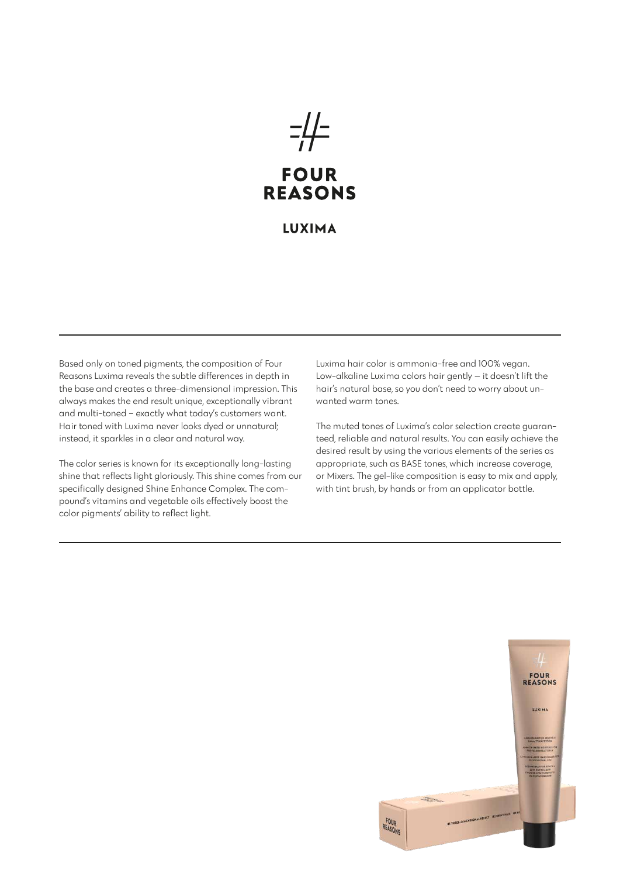# $=$ **FOUR REASONS**

## **LUXIMA**

Based only on toned pigments, the composition of Four Reasons Luxima reveals the subtle differences in depth in the base and creates a three-dimensional impression. This always makes the end result unique, exceptionally vibrant and multi-toned – exactly what today's customers want. Hair toned with Luxima never looks dyed or unnatural; instead, it sparkles in a clear and natural way.

The color series is known for its exceptionally long-lasting shine that reflects light gloriously. This shine comes from our specifically designed Shine Enhance Complex. The compound's vitamins and vegetable oils effectively boost the color pigments' ability to reflect light.

Luxima hair color is ammonia-free and 100% vegan. Low-alkaline Luxima colors hair gently — it doesn't lift the hair's natural base, so you don't need to worry about unwanted warm tones.

The muted tones of Luxima's color selection create guaranteed, reliable and natural results. You can easily achieve the desired result by using the various elements of the series as appropriate, such as BASE tones, which increase coverage, or Mixers. The gel-like composition is easy to mix and apply, with tint brush, by hands or from an applicator bottle.

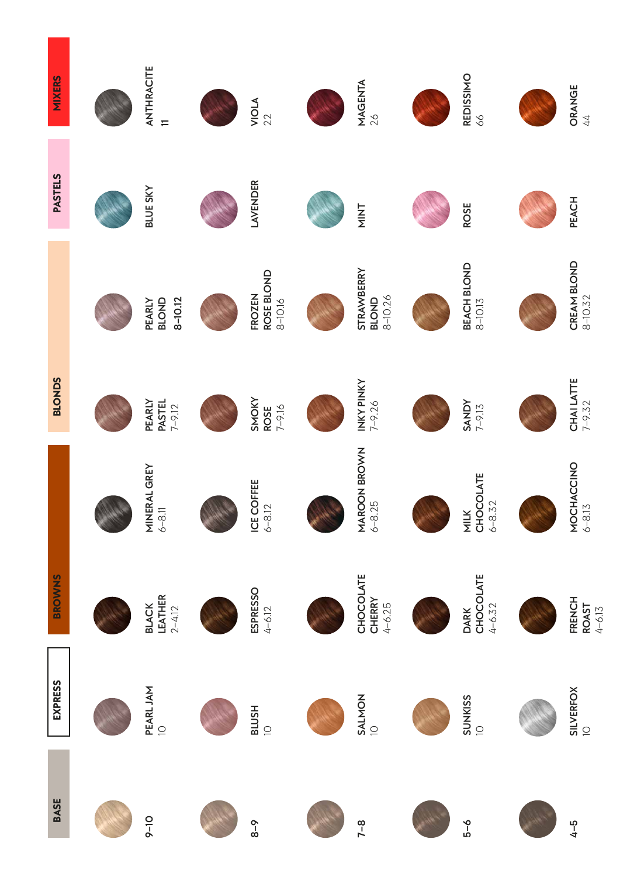| <b>MIXERS</b>  | ANTHRACITE<br>$\equiv$                                                               | VIOLA<br>22                                | <b>MAGENTA</b><br>$26$                                                            | REDISSIMO<br>66                                         | <b>ORANGE</b><br>44                                                       |
|----------------|--------------------------------------------------------------------------------------|--------------------------------------------|-----------------------------------------------------------------------------------|---------------------------------------------------------|---------------------------------------------------------------------------|
| <b>PASTELS</b> | <b>BLUE SKY</b>                                                                      | LAVENDER                                   | NINT                                                                              | <b>ROSE</b>                                             | PEACH                                                                     |
|                | $8 - 10.12$<br>BLOND<br>PEARLY                                                       | ROSE BLOND<br><b>FROZEN</b><br>$8 - 10.16$ | STRAWBERRY<br>BLOND<br>8-10.26                                                    | BEACH BLOND<br>$8 - 10.13$                              | $\begin{array}{ll} \textbf{CREAM BLOND} \\ \textbf{8--10.32} \end{array}$ |
| <b>BLONDS</b>  | PEARLY<br>PASTEL<br>$7 - 9.12$                                                       | SMOKY<br>$7 - 9.16$<br><b>ROSE</b>         | INKY PINKY<br>7-9.26                                                              | $\begin{array}{c}\n\text{SANDY} \\ 7-9.13\n\end{array}$ | $\begin{array}{c}\n\text{CHAI LATTE} \\ 7-9.32\n\end{array}$              |
|                | $\begin{array}{lll} \mathsf{MINERAL} \, \mathsf{GREY} \\ \ 6\text{--}8.1\end{array}$ | ICE COFFEE<br>$6-8.12$                     | $\begin{array}{l} \textsf{MAROON} \textsf{BROWN} \cr \textup{6--8.25}\end{array}$ | MILK<br>CHOCOLATE<br>6-8.32                             | MOCHACCINO<br>6-8.13                                                      |
| <b>BROWNS</b>  | <b>BLACK<br/>LEATHER</b><br>2-4.12                                                   | <b>ESPRESSO</b><br>$4 - 6.12$              | CHOCOLATE<br>CHERRY<br>$4 - 6.25$                                                 | DARK<br>CHOCOLATE<br>$4 - 6.32$                         | <b>FRENCH</b><br><b>ROAST</b><br>4-6.13                                   |
| <b>EXPRESS</b> | PEARL JAM<br>$\supseteq$                                                             | <b>BLUSH</b><br>$\overline{a}$             | SALMON                                                                            | SUNKISS<br>10                                           | SILVERFOX                                                                 |
| <b>BASE</b>    | $9 - 10$                                                                             | $8 - 8$                                    | $7 - 8$                                                                           | $6 - 6$                                                 | $4 - 5$                                                                   |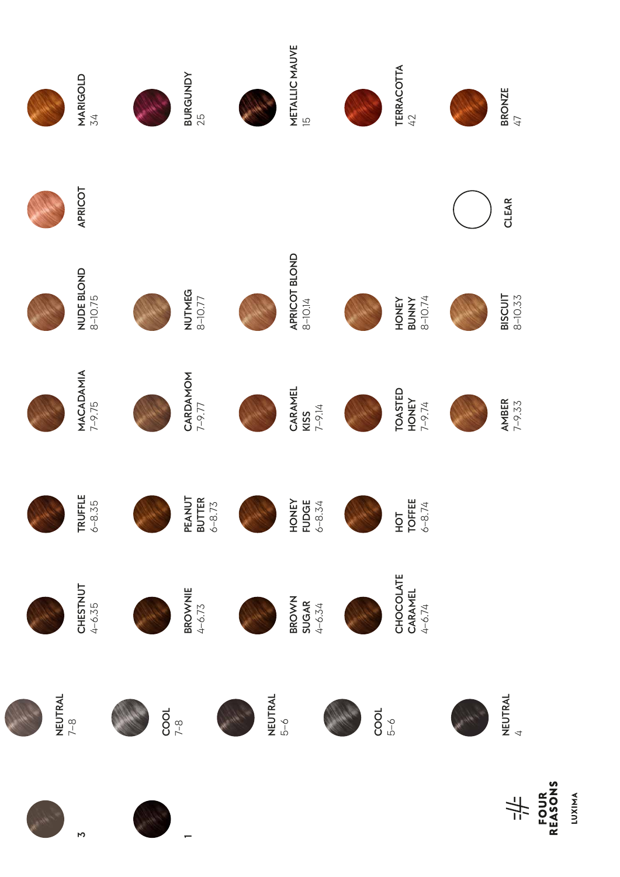

**LUXIMA**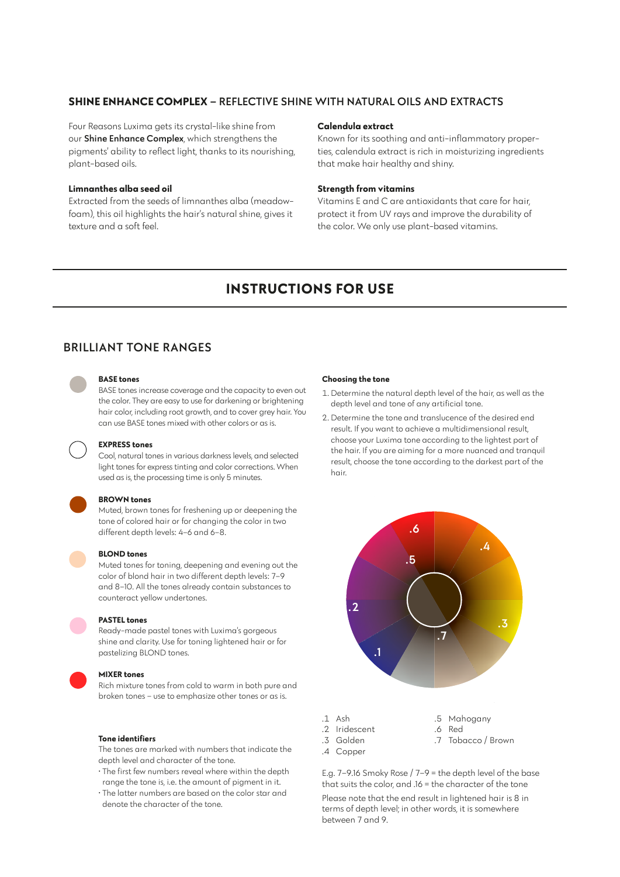### **SHINE ENHANCE COMPLEX** – REFLECTIVE SHINE WITH NATURAL OILS AND EXTRACTS

Four Reasons Luxima gets its crystal-like shine from our Shine Enhance Complex, which strengthens the pigments' ability to reflect light, thanks to its nourishing, plant-based oils.

#### **Limnanthes alba seed oil**

Extracted from the seeds of limnanthes alba (meadowfoam), this oil highlights the hair's natural shine, gives it texture and a soft feel.

#### **Calendula extract**

Known for its soothing and anti-inflammatory properties, calendula extract is rich in moisturizing ingredients that make hair healthy and shiny.

#### **Strength from vitamins**

Vitamins E and C are antioxidants that care for hair, protect it from UV rays and improve the durability of the color. We only use plant-based vitamins.

# **INSTRUCTIONS FOR USE**

## BRILLIANT TONE RANGES



#### **BASE tones**

BASE tones increase coverage and the capacity to even out the color. They are easy to use for darkening or brightening hair color, including root growth, and to cover grey hair. You can use BASE tones mixed with other colors or as is.

#### **EXPRESS tones**

Cool, natural tones in various darkness levels, and selected light tones for express tinting and color corrections. When used as is, the processing time is only 5 minutes.

#### **BROWN tones**

Muted, brown tones for freshening up or deepening the tone of colored hair or for changing the color in two different depth levels: 4–6 and 6–8.



#### **BLOND tones**

Muted tones for toning, deepening and evening out the color of blond hair in two different depth levels: 7–9 and 8–10. All the tones already contain substances to counteract yellow undertones.

#### **PASTEL tones**

Ready-made pastel tones with Luxima's gorgeous shine and clarity. Use for toning lightened hair or for pastelizing BLOND tones.

#### **MIXER tones**

Rich mixture tones from cold to warm in both pure and broken tones – use to emphasize other tones or as is.

#### **Tone identifiers**

The tones are marked with numbers that indicate the depth level and character of the tone.

- The first few numbers reveal where within the depth range the tone is, i.e. the amount of pigment in it.
- The latter numbers are based on the color star and denote the character of the tone.

#### **Choosing the tone**

- 1. Determine the natural depth level of the hair, as well as the depth level and tone of any artificial tone.
- 2. Determine the tone and translucence of the desired end result. If you want to achieve a multidimensional result, choose your Luxima tone according to the lightest part of the hair. If you are aiming for a more nuanced and tranquil result, choose the tone according to the darkest part of the hair.



- .2 Iridescent .6 Red
	-
	-
- .4 Copper
- .3 Golden .7 Tobacco / Brown

E.g. 7–9.16 Smoky Rose / 7–9 = the depth level of the base that suits the color, and .16 = the character of the tone Please note that the end result in lightened hair is 8 in terms of depth level; in other words, it is somewhere between 7 and 9.